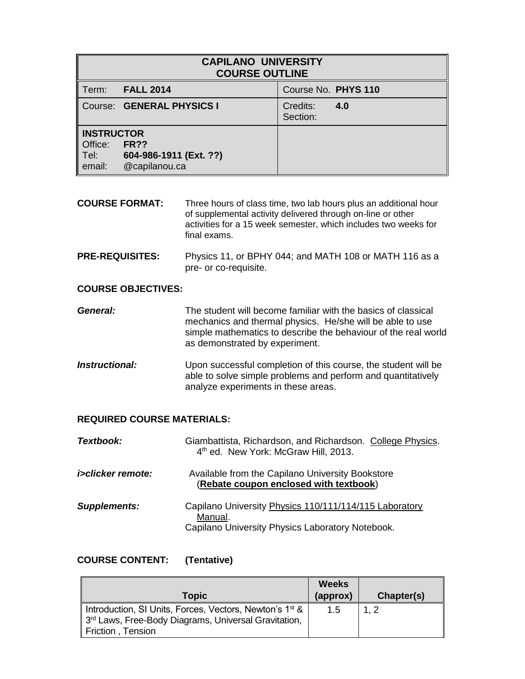| <b>CAPILANO UNIVERSITY</b><br><b>COURSE OUTLINE</b>   |                                                      |                             |  |
|-------------------------------------------------------|------------------------------------------------------|-----------------------------|--|
| Term:                                                 | <b>FALL 2014</b>                                     | Course No. PHYS 110         |  |
|                                                       | Course: GENERAL PHYSICS I                            | Credits:<br>4.0<br>Section: |  |
| <b>INSTRUCTOR</b><br>Office:<br>$\blacksquare$ email: | FR??<br>Tel: 604-986-1911 (Ext. ??)<br>@capilanou.ca |                             |  |

- **COURSE FORMAT:** Three hours of class time, two lab hours plus an additional hour of supplemental activity delivered through on-line or other activities for a 15 week semester, which includes two weeks for final exams.
- **PRE-REQUISITES:** Physics 11, or BPHY 044; and MATH 108 or MATH 116 as a pre- or co-requisite.

## **COURSE OBJECTIVES:**

| General: | The student will become familiar with the basics of classical  |
|----------|----------------------------------------------------------------|
|          | mechanics and thermal physics. He/she will be able to use      |
|          | simple mathematics to describe the behaviour of the real world |
|          | as demonstrated by experiment.                                 |

**Instructional:** Upon successful completion of this course, the student will be able to solve simple problems and perform and quantitatively analyze experiments in these areas.

### **REQUIRED COURSE MATERIALS:**

| Textbook:                   | Giambattista, Richardson, and Richardson. College Physics.<br>4 <sup>th</sup> ed. New York: McGraw Hill, 2013.        |
|-----------------------------|-----------------------------------------------------------------------------------------------------------------------|
| <i>i&gt;clicker remote:</i> | Available from the Capilano University Bookstore<br>(Rebate coupon enclosed with textbook)                            |
| <b>Supplements:</b>         | Capilano University Physics 110/111/114/115 Laboratory<br>Manual.<br>Capilano University Physics Laboratory Notebook. |

### **COURSE CONTENT: (Tentative)**

| Weeks<br>(approx) | Chapter(s) |
|-------------------|------------|
| 1.5               | 1.2        |
|                   |            |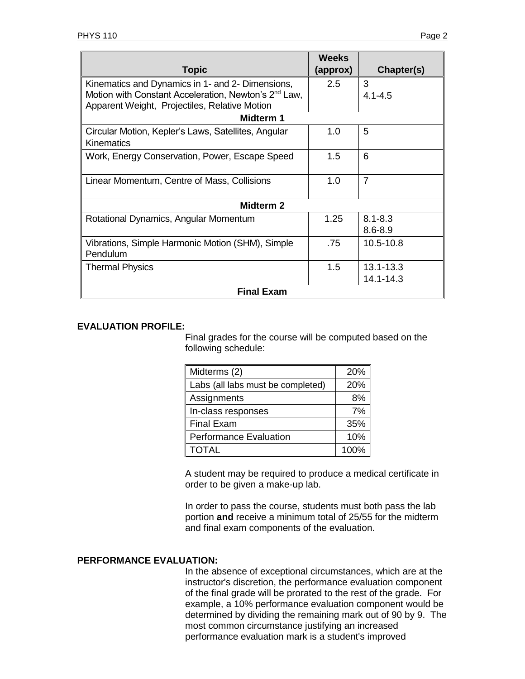|                                                                  | <b>Weeks</b> |                |  |
|------------------------------------------------------------------|--------------|----------------|--|
| <b>Topic</b>                                                     | (approx)     | Chapter(s)     |  |
| Kinematics and Dynamics in 1- and 2- Dimensions,                 | 2.5          | 3              |  |
| Motion with Constant Acceleration, Newton's 2 <sup>nd</sup> Law, |              | $4.1 - 4.5$    |  |
| Apparent Weight, Projectiles, Relative Motion                    |              |                |  |
| Midterm 1                                                        |              |                |  |
| Circular Motion, Kepler's Laws, Satellites, Angular              | 1.0          | 5              |  |
| Kinematics                                                       |              |                |  |
| Work, Energy Conservation, Power, Escape Speed                   | 1.5          | 6              |  |
|                                                                  |              |                |  |
| Linear Momentum, Centre of Mass, Collisions                      | 1.0          | $\overline{7}$ |  |
|                                                                  |              |                |  |
| <b>Midterm 2</b>                                                 |              |                |  |
| Rotational Dynamics, Angular Momentum                            | 1.25         | $8.1 - 8.3$    |  |
|                                                                  |              | $8.6 - 8.9$    |  |
| Vibrations, Simple Harmonic Motion (SHM), Simple                 | .75          | 10.5-10.8      |  |
| Pendulum                                                         |              |                |  |
| <b>Thermal Physics</b>                                           | 1.5          | $13.1 - 13.3$  |  |
|                                                                  |              | 14.1-14.3      |  |
| <b>Final Exam</b>                                                |              |                |  |

### **EVALUATION PROFILE:**

Final grades for the course will be computed based on the following schedule:

| Midterms (2)                      | 20%  |
|-----------------------------------|------|
| Labs (all labs must be completed) | 20%  |
| Assignments                       | 8%   |
| In-class responses                | 7%   |
| <b>Final Exam</b>                 | 35%  |
| <b>Performance Evaluation</b>     | 10%  |
| <b>TOTAL</b>                      | 100% |

A student may be required to produce a medical certificate in order to be given a make-up lab.

In order to pass the course, students must both pass the lab portion **and** receive a minimum total of 25/55 for the midterm and final exam components of the evaluation.

### **PERFORMANCE EVALUATION:**

In the absence of exceptional circumstances, which are at the instructor's discretion, the performance evaluation component of the final grade will be prorated to the rest of the grade. For example, a 10% performance evaluation component would be determined by dividing the remaining mark out of 90 by 9. The most common circumstance justifying an increased performance evaluation mark is a student's improved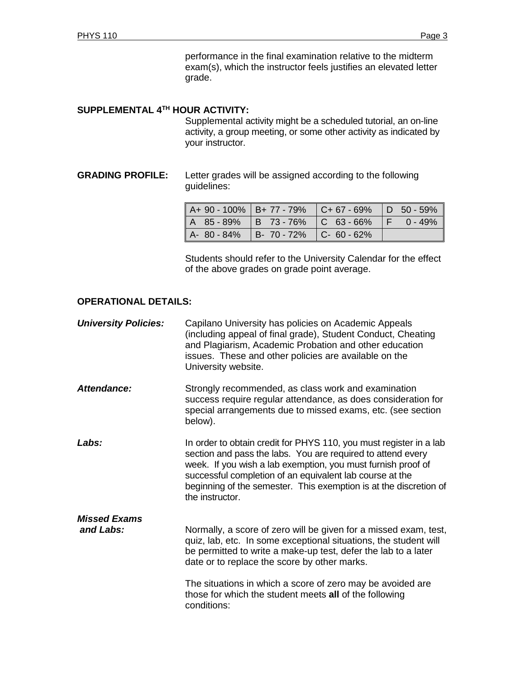performance in the final examination relative to the midterm exam(s), which the instructor feels justifies an elevated letter grade.

#### **SUPPLEMENTAL 4 TH HOUR ACTIVITY:**

Supplemental activity might be a scheduled tutorial, an on-line activity, a group meeting, or some other activity as indicated by your instructor.

# **GRADING PROFILE:** Letter grades will be assigned according to the following guidelines:

| $A+90-100\%$   B+77 - 79%   C+67 - 69%   D 50 - 59% |  |  |
|-----------------------------------------------------|--|--|
| A 85 - 89%   B 73 - 76%   C 63 - 66%   F 0 - 49%    |  |  |
| A- 80 - 84%   B- 70 - 72%   C- 60 - 62%             |  |  |

Students should refer to the University Calendar for the effect of the above grades on grade point average.

#### **OPERATIONAL DETAILS:**

| <b>University Policies:</b>      | Capilano University has policies on Academic Appeals<br>(including appeal of final grade), Student Conduct, Cheating<br>and Plagiarism, Academic Probation and other education<br>issues. These and other policies are available on the<br>University website.                                                                                        |
|----------------------------------|-------------------------------------------------------------------------------------------------------------------------------------------------------------------------------------------------------------------------------------------------------------------------------------------------------------------------------------------------------|
| Attendance:                      | Strongly recommended, as class work and examination<br>success require regular attendance, as does consideration for<br>special arrangements due to missed exams, etc. (see section<br>below).                                                                                                                                                        |
| Labs:                            | In order to obtain credit for PHYS 110, you must register in a lab<br>section and pass the labs. You are required to attend every<br>week. If you wish a lab exemption, you must furnish proof of<br>successful completion of an equivalent lab course at the<br>beginning of the semester. This exemption is at the discretion of<br>the instructor. |
| <b>Missed Exams</b><br>and Labs: | Normally, a score of zero will be given for a missed exam, test,<br>quiz, lab, etc. In some exceptional situations, the student will<br>be permitted to write a make-up test, defer the lab to a later<br>date or to replace the score by other marks.                                                                                                |
|                                  | The situations in which a score of zero may be avoided are<br>those for which the student meets all of the following<br>conditions:                                                                                                                                                                                                                   |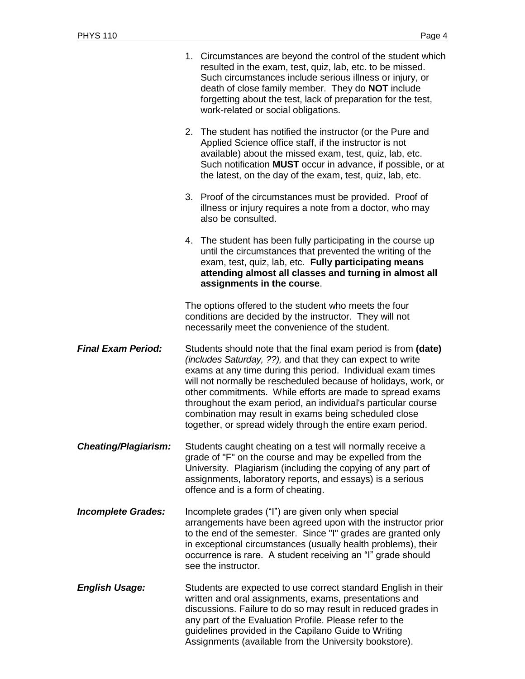|                             |                                                                                                                                                                                                                                                                                                                                                                                                                                                                                                                    | 1. Circumstances are beyond the control of the student which<br>resulted in the exam, test, quiz, lab, etc. to be missed.<br>Such circumstances include serious illness or injury, or<br>death of close family member. They do <b>NOT</b> include<br>forgetting about the test, lack of preparation for the test,<br>work-related or social obligations.               |  |  |
|-----------------------------|--------------------------------------------------------------------------------------------------------------------------------------------------------------------------------------------------------------------------------------------------------------------------------------------------------------------------------------------------------------------------------------------------------------------------------------------------------------------------------------------------------------------|------------------------------------------------------------------------------------------------------------------------------------------------------------------------------------------------------------------------------------------------------------------------------------------------------------------------------------------------------------------------|--|--|
|                             |                                                                                                                                                                                                                                                                                                                                                                                                                                                                                                                    | 2. The student has notified the instructor (or the Pure and<br>Applied Science office staff, if the instructor is not<br>available) about the missed exam, test, quiz, lab, etc.<br>Such notification <b>MUST</b> occur in advance, if possible, or at<br>the latest, on the day of the exam, test, quiz, lab, etc.                                                    |  |  |
|                             |                                                                                                                                                                                                                                                                                                                                                                                                                                                                                                                    | 3. Proof of the circumstances must be provided. Proof of<br>illness or injury requires a note from a doctor, who may<br>also be consulted.                                                                                                                                                                                                                             |  |  |
|                             |                                                                                                                                                                                                                                                                                                                                                                                                                                                                                                                    | 4. The student has been fully participating in the course up<br>until the circumstances that prevented the writing of the<br>exam, test, quiz, lab, etc. Fully participating means<br>attending almost all classes and turning in almost all<br>assignments in the course.                                                                                             |  |  |
|                             |                                                                                                                                                                                                                                                                                                                                                                                                                                                                                                                    | The options offered to the student who meets the four<br>conditions are decided by the instructor. They will not<br>necessarily meet the convenience of the student.                                                                                                                                                                                                   |  |  |
| <b>Final Exam Period:</b>   | Students should note that the final exam period is from (date)<br>(includes Saturday, ??), and that they can expect to write<br>exams at any time during this period. Individual exam times<br>will not normally be rescheduled because of holidays, work, or<br>other commitments. While efforts are made to spread exams<br>throughout the exam period, an individual's particular course<br>combination may result in exams being scheduled close<br>together, or spread widely through the entire exam period. |                                                                                                                                                                                                                                                                                                                                                                        |  |  |
| <b>Cheating/Plagiarism:</b> |                                                                                                                                                                                                                                                                                                                                                                                                                                                                                                                    | Students caught cheating on a test will normally receive a<br>grade of "F" on the course and may be expelled from the<br>University. Plagiarism (including the copying of any part of<br>assignments, laboratory reports, and essays) is a serious<br>offence and is a form of cheating.                                                                               |  |  |
| <b>Incomplete Grades:</b>   |                                                                                                                                                                                                                                                                                                                                                                                                                                                                                                                    | Incomplete grades ("I") are given only when special<br>arrangements have been agreed upon with the instructor prior<br>to the end of the semester. Since "I" grades are granted only<br>in exceptional circumstances (usually health problems), their<br>occurrence is rare. A student receiving an "I" grade should<br>see the instructor.                            |  |  |
| <b>English Usage:</b>       |                                                                                                                                                                                                                                                                                                                                                                                                                                                                                                                    | Students are expected to use correct standard English in their<br>written and oral assignments, exams, presentations and<br>discussions. Failure to do so may result in reduced grades in<br>any part of the Evaluation Profile. Please refer to the<br>guidelines provided in the Capilano Guide to Writing<br>Assignments (available from the University bookstore). |  |  |